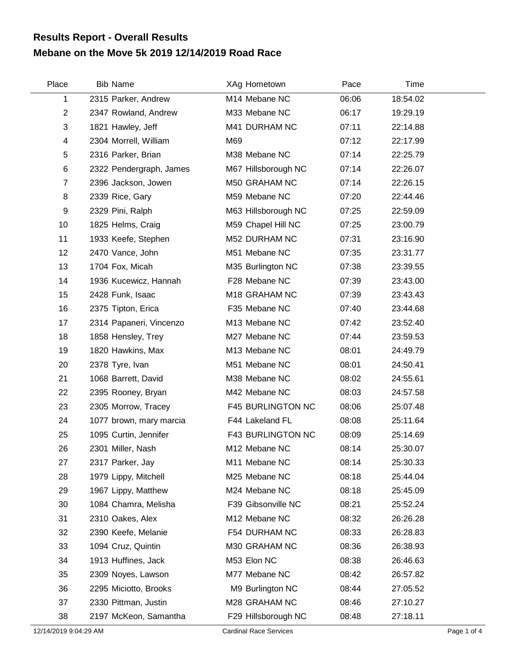## **Mebane on the Move 5k 2019 12/14/2019 Road Race Results Report - Overall Results**

| Place                 | <b>Bib Name</b>         | XAg Hometown                  | Pace  | Time     |             |
|-----------------------|-------------------------|-------------------------------|-------|----------|-------------|
| 1                     | 2315 Parker, Andrew     | M14 Mebane NC                 | 06:06 | 18:54.02 |             |
| $\overline{2}$        | 2347 Rowland, Andrew    | M33 Mebane NC                 | 06:17 | 19:29.19 |             |
| 3                     | 1821 Hawley, Jeff       | M41 DURHAM NC                 | 07:11 | 22:14.88 |             |
| 4                     | 2304 Morrell, William   | M69                           | 07:12 | 22:17.99 |             |
| 5                     | 2316 Parker, Brian      | M38 Mebane NC                 | 07:14 | 22:25.79 |             |
| $\,6$                 | 2322 Pendergraph, James | M67 Hillsborough NC           | 07:14 | 22:26.07 |             |
| $\overline{7}$        | 2396 Jackson, Jowen     | M50 GRAHAM NC                 | 07:14 | 22:26.15 |             |
| 8                     | 2339 Rice, Gary         | M59 Mebane NC                 | 07:20 | 22:44.46 |             |
| 9                     | 2329 Pini, Ralph        | M63 Hillsborough NC           | 07:25 | 22:59.09 |             |
| 10                    | 1825 Helms, Craig       | M59 Chapel Hill NC            | 07:25 | 23:00.79 |             |
| 11                    | 1933 Keefe, Stephen     | M52 DURHAM NC                 | 07:31 | 23:16.90 |             |
| 12                    | 2470 Vance, John        | M51 Mebane NC                 | 07:35 | 23:31.77 |             |
| 13                    | 1704 Fox, Micah         | M35 Burlington NC             | 07:38 | 23:39.55 |             |
| 14                    | 1936 Kucewicz, Hannah   | F28 Mebane NC                 | 07:39 | 23:43.00 |             |
| 15                    | 2428 Funk, Isaac        | M18 GRAHAM NC                 | 07:39 | 23:43.43 |             |
| 16                    | 2375 Tipton, Erica      | F35 Mebane NC                 | 07:40 | 23:44.68 |             |
| 17                    | 2314 Papaneri, Vincenzo | M13 Mebane NC                 | 07:42 | 23:52.40 |             |
| 18                    | 1858 Hensley, Trey      | M27 Mebane NC                 | 07:44 | 23:59.53 |             |
| 19                    | 1820 Hawkins, Max       | M13 Mebane NC                 | 08:01 | 24:49.79 |             |
| 20                    | 2378 Tyre, Ivan         | M51 Mebane NC                 | 08:01 | 24:50.41 |             |
| 21                    | 1068 Barrett, David     | M38 Mebane NC                 | 08:02 | 24:55.61 |             |
| 22                    | 2395 Rooney, Bryan      | M42 Mebane NC                 | 08:03 | 24:57.58 |             |
| 23                    | 2305 Morrow, Tracey     | <b>F45 BURLINGTON NC</b>      | 08:06 | 25:07.48 |             |
| 24                    | 1077 brown, mary marcia | F44 Lakeland FL               | 08:08 | 25:11.64 |             |
| 25                    | 1095 Curtin, Jennifer   | F43 BURLINGTON NC             | 08:09 | 25:14.69 |             |
| 26                    | 2301 Miller, Nash       | M12 Mebane NC                 | 08:14 | 25:30.07 |             |
| 27                    | 2317 Parker, Jay        | M11 Mebane NC                 | 08:14 | 25:30.33 |             |
| 28                    | 1979 Lippy, Mitchell    | M25 Mebane NC                 | 08:18 | 25:44.04 |             |
| 29                    | 1967 Lippy, Matthew     | M24 Mebane NC                 | 08:18 | 25:45.09 |             |
| 30                    | 1084 Chamra, Melisha    | F39 Gibsonville NC            | 08:21 | 25:52.24 |             |
| 31                    | 2310 Oakes, Alex        | M12 Mebane NC                 | 08:32 | 26:26.28 |             |
| 32                    | 2390 Keefe, Melanie     | F54 DURHAM NC                 | 08:33 | 26:28.83 |             |
| 33                    | 1094 Cruz, Quintin      | M30 GRAHAM NC                 | 08:36 | 26:38.93 |             |
| 34                    | 1913 Huffines, Jack     | M53 Elon NC                   | 08:38 | 26:46.63 |             |
| 35                    | 2309 Noyes, Lawson      | M77 Mebane NC                 | 08:42 | 26:57.82 |             |
| 36                    | 2295 Miciotto, Brooks   | M9 Burlington NC              | 08:44 | 27:05.52 |             |
| 37                    | 2330 Pittman, Justin    | M28 GRAHAM NC                 | 08:46 | 27:10.27 |             |
| 38                    | 2197 McKeon, Samantha   | F29 Hillsborough NC           | 08:48 | 27:18.11 |             |
| 12/14/2019 9:04:29 AM |                         | <b>Cardinal Race Services</b> |       |          | Page 1 of 4 |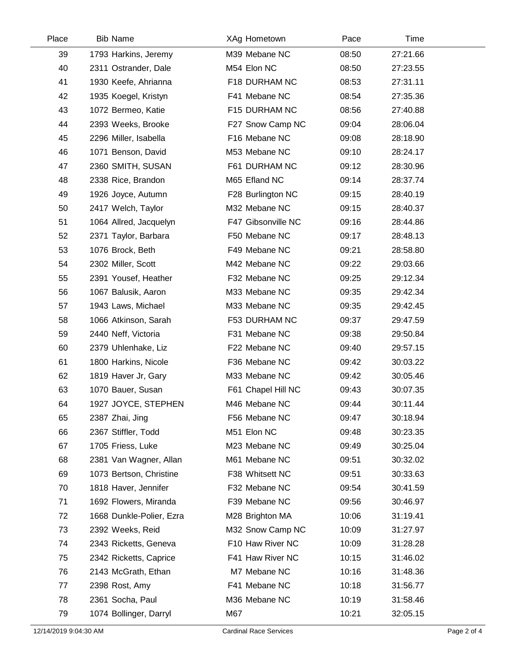| Place | <b>Bib Name</b>          | XAg Hometown       | Pace  | Time     |  |
|-------|--------------------------|--------------------|-------|----------|--|
| 39    | 1793 Harkins, Jeremy     | M39 Mebane NC      | 08:50 | 27:21.66 |  |
| 40    | 2311 Ostrander, Dale     | M54 Elon NC        | 08:50 | 27:23.55 |  |
| 41    | 1930 Keefe, Ahrianna     | F18 DURHAM NC      | 08:53 | 27:31.11 |  |
| 42    | 1935 Koegel, Kristyn     | F41 Mebane NC      | 08:54 | 27:35.36 |  |
| 43    | 1072 Bermeo, Katie       | F15 DURHAM NC      | 08:56 | 27:40.88 |  |
| 44    | 2393 Weeks, Brooke       | F27 Snow Camp NC   | 09:04 | 28:06.04 |  |
| 45    | 2296 Miller, Isabella    | F16 Mebane NC      | 09:08 | 28:18.90 |  |
| 46    | 1071 Benson, David       | M53 Mebane NC      | 09:10 | 28:24.17 |  |
| 47    | 2360 SMITH, SUSAN        | F61 DURHAM NC      | 09:12 | 28:30.96 |  |
| 48    | 2338 Rice, Brandon       | M65 Efland NC      | 09:14 | 28:37.74 |  |
| 49    | 1926 Joyce, Autumn       | F28 Burlington NC  | 09:15 | 28:40.19 |  |
| 50    | 2417 Welch, Taylor       | M32 Mebane NC      | 09:15 | 28:40.37 |  |
| 51    | 1064 Allred, Jacquelyn   | F47 Gibsonville NC | 09:16 | 28:44.86 |  |
| 52    | 2371 Taylor, Barbara     | F50 Mebane NC      | 09:17 | 28:48.13 |  |
| 53    | 1076 Brock, Beth         | F49 Mebane NC      | 09:21 | 28:58.80 |  |
| 54    | 2302 Miller, Scott       | M42 Mebane NC      | 09:22 | 29:03.66 |  |
| 55    | 2391 Yousef, Heather     | F32 Mebane NC      | 09:25 | 29:12.34 |  |
| 56    | 1067 Balusik, Aaron      | M33 Mebane NC      | 09:35 | 29:42.34 |  |
| 57    | 1943 Laws, Michael       | M33 Mebane NC      | 09:35 | 29:42.45 |  |
| 58    | 1066 Atkinson, Sarah     | F53 DURHAM NC      | 09:37 | 29:47.59 |  |
| 59    | 2440 Neff, Victoria      | F31 Mebane NC      | 09:38 | 29:50.84 |  |
| 60    | 2379 Uhlenhake, Liz      | F22 Mebane NC      | 09:40 | 29:57.15 |  |
| 61    | 1800 Harkins, Nicole     | F36 Mebane NC      | 09:42 | 30:03.22 |  |
| 62    | 1819 Haver Jr, Gary      | M33 Mebane NC      | 09:42 | 30:05.46 |  |
| 63    | 1070 Bauer, Susan        | F61 Chapel Hill NC | 09:43 | 30:07.35 |  |
| 64    | 1927 JOYCE, STEPHEN      | M46 Mebane NC      | 09:44 | 30:11.44 |  |
| 65    | 2387 Zhai, Jing          | F56 Mebane NC      | 09:47 | 30:18.94 |  |
| 66    | 2367 Stiffler, Todd      | M51 Elon NC        | 09:48 | 30:23.35 |  |
| 67    | 1705 Friess, Luke        | M23 Mebane NC      | 09:49 | 30:25.04 |  |
| 68    | 2381 Van Wagner, Allan   | M61 Mebane NC      | 09:51 | 30:32.02 |  |
| 69    | 1073 Bertson, Christine  | F38 Whitsett NC    | 09:51 | 30:33.63 |  |
| 70    | 1818 Haver, Jennifer     | F32 Mebane NC      | 09:54 | 30:41.59 |  |
| 71    | 1692 Flowers, Miranda    | F39 Mebane NC      | 09:56 | 30:46.97 |  |
| 72    | 1668 Dunkle-Polier, Ezra | M28 Brighton MA    | 10:06 | 31:19.41 |  |
| 73    | 2392 Weeks, Reid         | M32 Snow Camp NC   | 10:09 | 31:27.97 |  |
| 74    | 2343 Ricketts, Geneva    | F10 Haw River NC   | 10:09 | 31:28.28 |  |
| 75    | 2342 Ricketts, Caprice   | F41 Haw River NC   | 10:15 | 31:46.02 |  |
| 76    | 2143 McGrath, Ethan      | M7 Mebane NC       | 10:16 | 31:48.36 |  |
| 77    | 2398 Rost, Amy           | F41 Mebane NC      | 10:18 | 31:56.77 |  |
| 78    | 2361 Socha, Paul         | M36 Mebane NC      | 10:19 | 31:58.46 |  |
| 79    | 1074 Bollinger, Darryl   | M67                | 10:21 | 32:05.15 |  |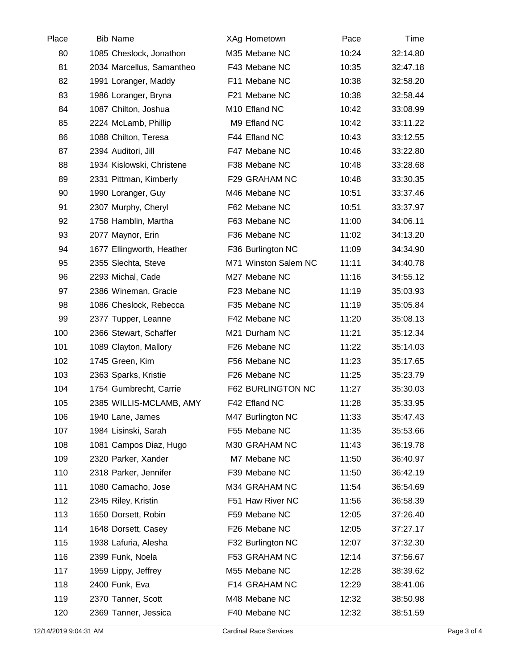| Place | <b>Bib Name</b>           | XAg Hometown         | Pace  | Time     |  |
|-------|---------------------------|----------------------|-------|----------|--|
| 80    | 1085 Cheslock, Jonathon   | M35 Mebane NC        | 10:24 | 32:14.80 |  |
| 81    | 2034 Marcellus, Samantheo | F43 Mebane NC        | 10:35 | 32:47.18 |  |
| 82    | 1991 Loranger, Maddy      | F11 Mebane NC        | 10:38 | 32:58.20 |  |
| 83    | 1986 Loranger, Bryna      | F21 Mebane NC        | 10:38 | 32:58.44 |  |
| 84    | 1087 Chilton, Joshua      | M10 Efland NC        | 10:42 | 33:08.99 |  |
| 85    | 2224 McLamb, Phillip      | M9 Efland NC         | 10:42 | 33:11.22 |  |
| 86    | 1088 Chilton, Teresa      | F44 Efland NC        | 10:43 | 33:12.55 |  |
| 87    | 2394 Auditori, Jill       | F47 Mebane NC        | 10:46 | 33:22.80 |  |
| 88    | 1934 Kislowski, Christene | F38 Mebane NC        | 10:48 | 33:28.68 |  |
| 89    | 2331 Pittman, Kimberly    | F29 GRAHAM NC        | 10:48 | 33:30.35 |  |
| 90    | 1990 Loranger, Guy        | M46 Mebane NC        | 10:51 | 33:37.46 |  |
| 91    | 2307 Murphy, Cheryl       | F62 Mebane NC        | 10:51 | 33:37.97 |  |
| 92    | 1758 Hamblin, Martha      | F63 Mebane NC        | 11:00 | 34:06.11 |  |
| 93    | 2077 Maynor, Erin         | F36 Mebane NC        | 11:02 | 34:13.20 |  |
| 94    | 1677 Ellingworth, Heather | F36 Burlington NC    | 11:09 | 34:34.90 |  |
| 95    | 2355 Slechta, Steve       | M71 Winston Salem NC | 11:11 | 34:40.78 |  |
| 96    | 2293 Michal, Cade         | M27 Mebane NC        | 11:16 | 34:55.12 |  |
| 97    | 2386 Wineman, Gracie      | F23 Mebane NC        | 11:19 | 35:03.93 |  |
| 98    | 1086 Cheslock, Rebecca    | F35 Mebane NC        | 11:19 | 35:05.84 |  |
| 99    | 2377 Tupper, Leanne       | F42 Mebane NC        | 11:20 | 35:08.13 |  |
| 100   | 2366 Stewart, Schaffer    | M21 Durham NC        | 11:21 | 35:12.34 |  |
| 101   | 1089 Clayton, Mallory     | F26 Mebane NC        | 11:22 | 35:14.03 |  |
| 102   | 1745 Green, Kim           | F56 Mebane NC        | 11:23 | 35:17.65 |  |
| 103   | 2363 Sparks, Kristie      | F26 Mebane NC        | 11:25 | 35:23.79 |  |
| 104   | 1754 Gumbrecht, Carrie    | F62 BURLINGTON NC    | 11:27 | 35:30.03 |  |
| 105   | 2385 WILLIS-MCLAMB, AMY   | F42 Efland NC        | 11:28 | 35:33.95 |  |
| 106   | 1940 Lane, James          | M47 Burlington NC    | 11:33 | 35:47.43 |  |
| 107   | 1984 Lisinski, Sarah      | F55 Mebane NC        | 11:35 | 35:53.66 |  |
| 108   | 1081 Campos Diaz, Hugo    | M30 GRAHAM NC        | 11:43 | 36:19.78 |  |
| 109   | 2320 Parker, Xander       | M7 Mebane NC         | 11:50 | 36:40.97 |  |
| 110   | 2318 Parker, Jennifer     | F39 Mebane NC        | 11:50 | 36:42.19 |  |
| 111   | 1080 Camacho, Jose        | M34 GRAHAM NC        | 11:54 | 36:54.69 |  |
| 112   | 2345 Riley, Kristin       | F51 Haw River NC     | 11:56 | 36:58.39 |  |
| 113   | 1650 Dorsett, Robin       | F59 Mebane NC        | 12:05 | 37:26.40 |  |
| 114   | 1648 Dorsett, Casey       | F26 Mebane NC        | 12:05 | 37:27.17 |  |
| 115   | 1938 Lafuria, Alesha      | F32 Burlington NC    | 12:07 | 37:32.30 |  |
| 116   | 2399 Funk, Noela          | F53 GRAHAM NC        | 12:14 | 37:56.67 |  |
| 117   | 1959 Lippy, Jeffrey       | M55 Mebane NC        | 12:28 | 38:39.62 |  |
| 118   | 2400 Funk, Eva            | F14 GRAHAM NC        | 12:29 | 38:41.06 |  |
| 119   | 2370 Tanner, Scott        | M48 Mebane NC        | 12:32 | 38:50.98 |  |
| 120   | 2369 Tanner, Jessica      | F40 Mebane NC        | 12:32 | 38:51.59 |  |